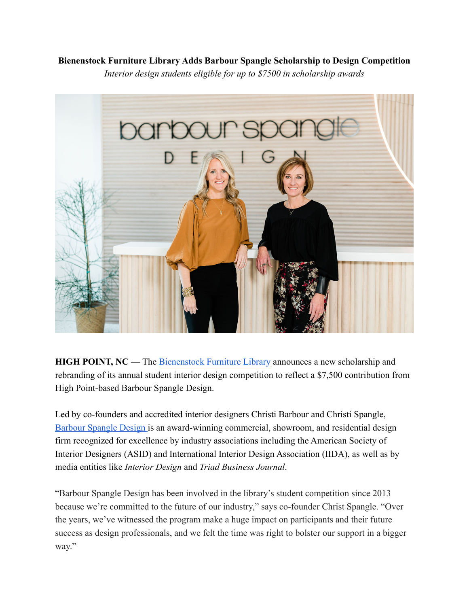## **Bienenstock Furniture Library Adds Barbour Spangle Scholarship to Design Competition**

*Interior design students eligible for up to \$7500 in scholarship awards*



**HIGH POINT, NC** — The **Bienenstock Furniture Library** announces a new scholarship and rebranding of its annual student interior design competition to reflect a \$7,500 contribution from High Point-based Barbour Spangle Design.

Led by co-founders and accredited interior designers Christi Barbour and Christi Spangle, [Barbour Spangle Design i](https://barbourspangle.com/)s an award-winning commercial, showroom, and residential design firm recognized for excellence by industry associations including the American Society of Interior Designers (ASID) and International Interior Design Association (IIDA), as well as by media entities like *Interior Design* and *Triad Business Journal*.

"Barbour Spangle Design has been involved in the library's student competition since 2013 because we're committed to the future of our industry," says co-founder Christ Spangle. "Over the years, we've witnessed the program make a huge impact on participants and their future success as design professionals, and we felt the time was right to bolster our support in a bigger way."